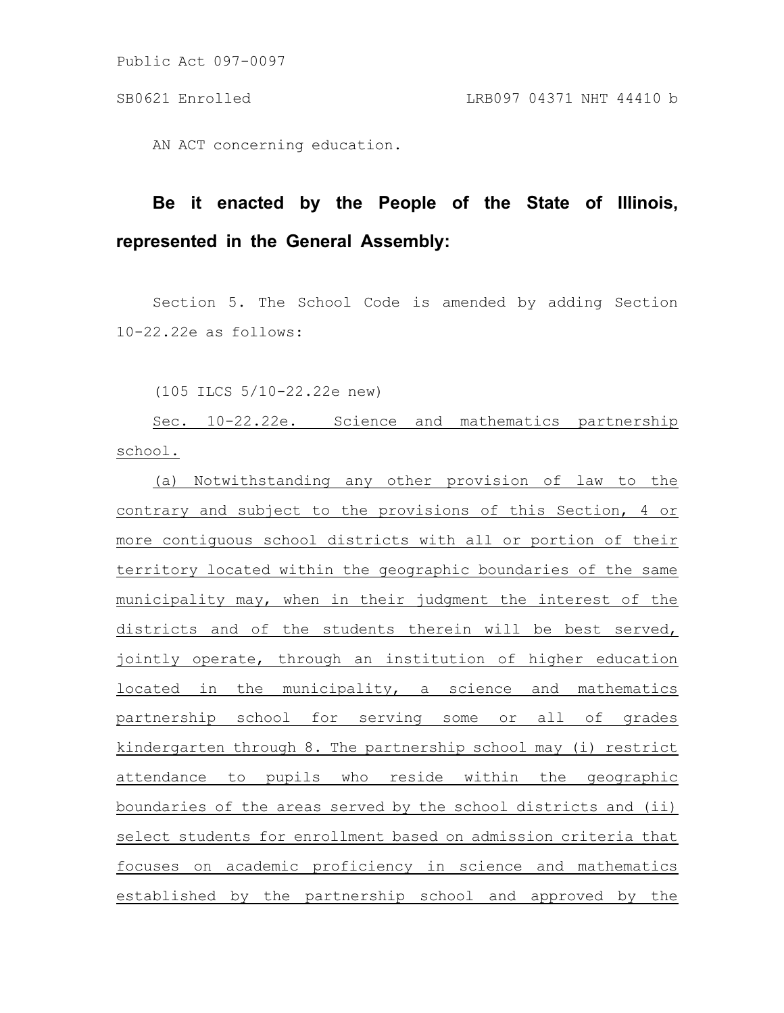Public Act 097-0097

AN ACT concerning education.

## **Be it enacted by the People of the State of Illinois, represented in the General Assembly:**

Section 5. The School Code is amended by adding Section 10-22.22e as follows:

(105 ILCS 5/10-22.22e new)

Sec. 10-22.22e. Science and mathematics partnership school.

(a) Notwithstanding any other provision of law to the contrary and subject to the provisions of this Section, 4 or more contiguous school districts with all or portion of their territory located within the geographic boundaries of the same municipality may, when in their judgment the interest of the districts and of the students therein will be best served, jointly operate, through an institution of higher education located in the municipality, a science and mathematics partnership school for serving some or all of grades kindergarten through 8. The partnership school may (i) restrict attendance to pupils who reside within the geographic boundaries of the areas served by the school districts and (ii) select students for enrollment based on admission criteria that focuses on academic proficiency in science and mathematics established by the partnership school and approved by the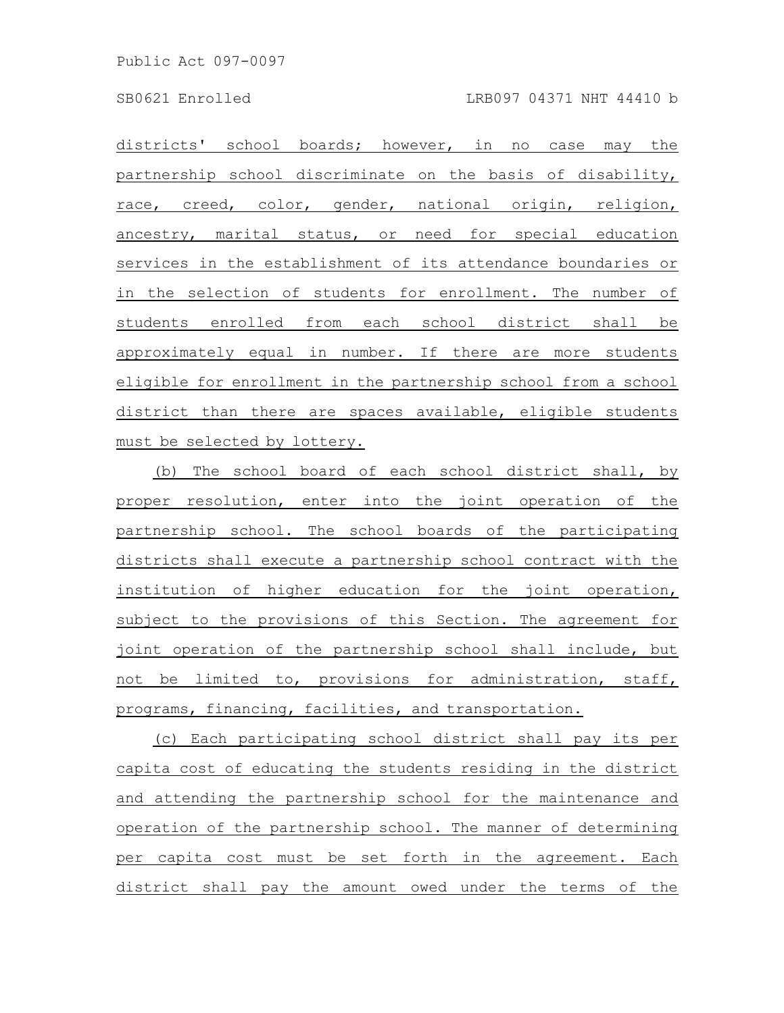Public Act 097-0097

districts' school boards; however, in no case may the partnership school discriminate on the basis of disability, race, creed, color, gender, national origin, religion, ancestry, marital status, or need for special education services in the establishment of its attendance boundaries or in the selection of students for enrollment. The number of students enrolled from each school district shall be approximately equal in number. If there are more students eligible for enrollment in the partnership school from a school district than there are spaces available, eligible students must be selected by lottery.

(b) The school board of each school district shall, by proper resolution, enter into the joint operation of the partnership school. The school boards of the participating districts shall execute a partnership school contract with the institution of higher education for the joint operation, subject to the provisions of this Section. The agreement for joint operation of the partnership school shall include, but not be limited to, provisions for administration, staff, programs, financing, facilities, and transportation.

(c) Each participating school district shall pay its per capita cost of educating the students residing in the district and attending the partnership school for the maintenance and operation of the partnership school. The manner of determining per capita cost must be set forth in the agreement. Each district shall pay the amount owed under the terms of the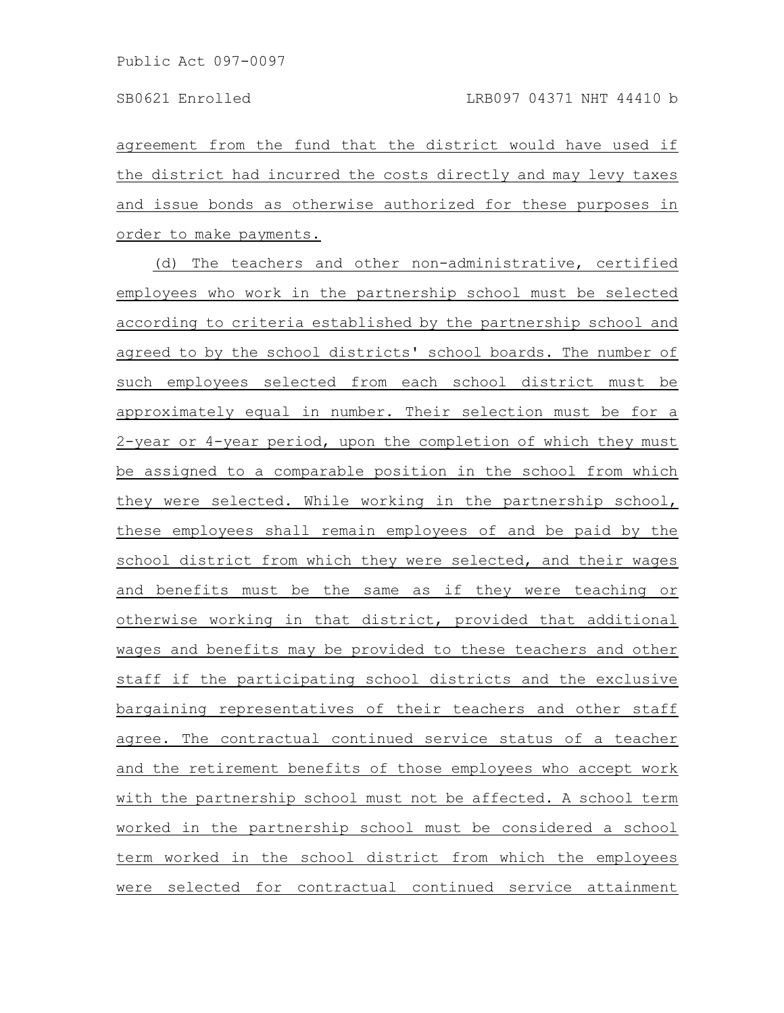agreement from the fund that the district would have used if the district had incurred the costs directly and may levy taxes and issue bonds as otherwise authorized for these purposes in order to make payments.

(d) The teachers and other non-administrative, certified employees who work in the partnership school must be selected according to criteria established by the partnership school and agreed to by the school districts' school boards. The number of such employees selected from each school district must be approximately equal in number. Their selection must be for a 2-year or 4-year period, upon the completion of which they must be assigned to a comparable position in the school from which they were selected. While working in the partnership school, these employees shall remain employees of and be paid by the school district from which they were selected, and their wages and benefits must be the same as if they were teaching or otherwise working in that district, provided that additional wages and benefits may be provided to these teachers and other staff if the participating school districts and the exclusive bargaining representatives of their teachers and other staff agree. The contractual continued service status of a teacher and the retirement benefits of those employees who accept work with the partnership school must not be affected. A school term worked in the partnership school must be considered a school term worked in the school district from which the employees were selected for contractual continued service attainment